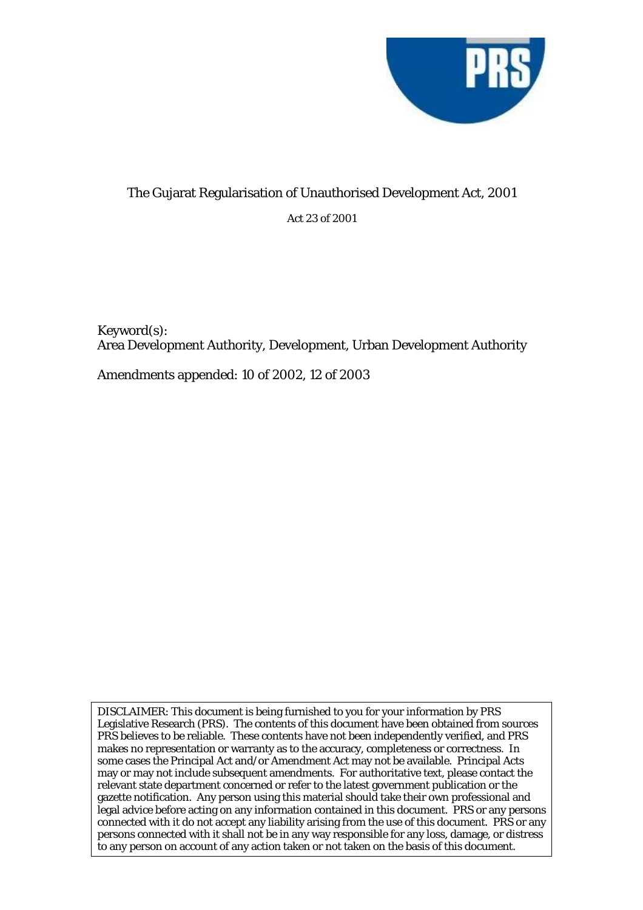

# The Gujarat Regularisation of Unauthorised Development Act, 2001 Act 23 of 2001

Keyword(s): Area Development Authority, Development, Urban Development Authority

Amendments appended: 10 of 2002, 12 of 2003

DISCLAIMER: This document is being furnished to you for your information by PRS Legislative Research (PRS). The contents of this document have been obtained from sources PRS believes to be reliable. These contents have not been independently verified, and PRS makes no representation or warranty as to the accuracy, completeness or correctness. In some cases the Principal Act and/or Amendment Act may not be available. Principal Acts may or may not include subsequent amendments. For authoritative text, please contact the relevant state department concerned or refer to the latest government publication or the gazette notification. Any person using this material should take their own professional and legal advice before acting on any information contained in this document. PRS or any persons connected with it do not accept any liability arising from the use of this document. PRS or any persons connected with it shall not be in any way responsible for any loss, damage, or distress to any person on account of any action taken or not taken on the basis of this document.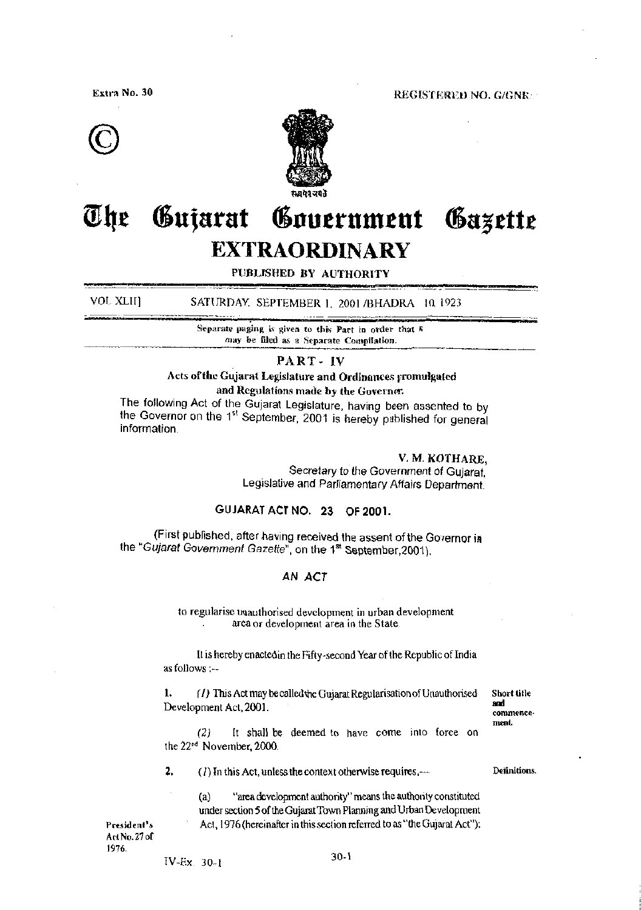Extra No. 30

REGISTERED NO. G/GNR/





#### Gujarat Government The Gazette **EXTRAORDINARY**

PUBLISHED BY AUTHORITY

VOL XLII] SATURDAY, SEPTEMBER 1, 2001/BHADRA 10, 1923

> Separate paging is given to this Part in order that R may be filed as a Separate Compilation.

#### PART-IV

### Acts of the Gujarat Legislature and Ordinances promulgated and Regulations made by the Governer.

The following Act of the Gujarat Legislature, having been assented to by the Governor on the 1<sup>st</sup> September, 2001 is hereby published for general information

#### V. M. KOTHARE,

Secretary to the Government of Gujarat. Legislative and Parliamentary Affairs Department.

# GUJARAT ACT NO. 23 OF 2001.

(First published, after having received the assent of the Governor in the "Gujarat Government Gazette", on the 1st September, 2001).

#### AN ACT

to regularise mauthorised development in urban development area or development area in the State.

It is hereby enacted in the Fifty-second Year of the Republic of India as follows :--

1. (1) This Act may be called the Gujarat Regularisation of Unauthorised Development Act, 2001.

Short title ard commencement.

Definitions.

It shall be deemed to have come into force on  $(2)$ the 22<sup>nd</sup> November, 2000.

 $2.$ (1) In this Act, unless the context otherwise requires. $-$ 

> "area development authority" means the authority constituted  $(a)$ under section 5 of the Gujarat Town Planning and Urban Development Act, 1976 (hereinafter in this section referred to as "the Gujarat Act");

President's Act No. 27 of 1976.

 $IV-Ex$  30-1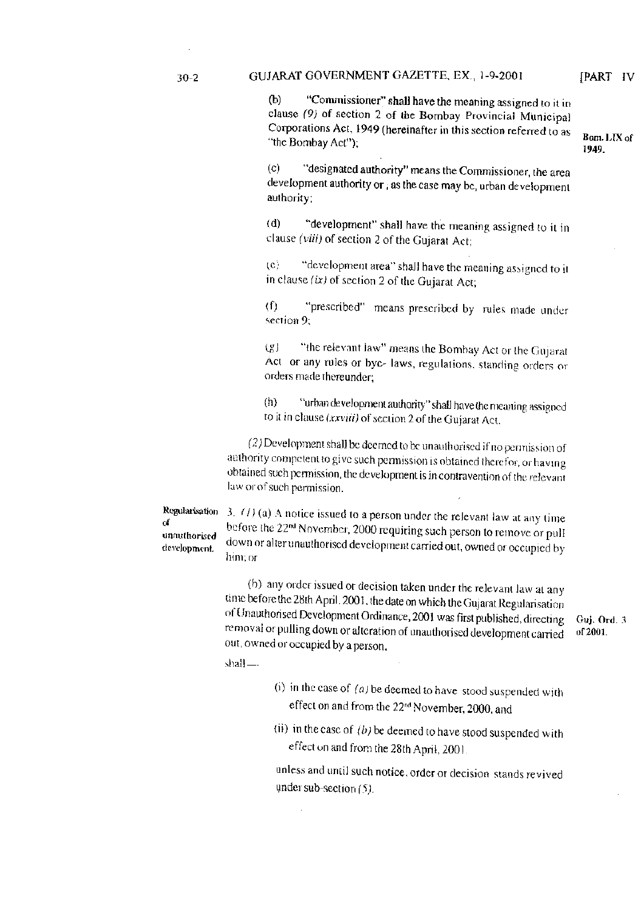Bom. LIX of

1949.

"Commissioner" shall have the meaning assigned to it in  $(b)$ clause (9) of section 2 of the Bombay Provincial Municipal Corporations Act, 1949 (hereinafter in this section referred to as "the Bombay Act");

"designated authority" means the Commissioner, the area  $(c)$ development authority or, as the case may be, urban development authority;

"development" shall have the meaning assigned to it in  $(d)$ clause (viii) of section 2 of the Gujarat Act;

"development area" shall have the meaning assigned to it  $(c)$ in clause  $(ix)$  of section 2 of the Gujarat Act;

 $(f)$ "prescribed" means prescribed by rules made under section 9;

"the relevant law" means the Bombay Act or the Gujarat  $(g)$ Act or any rules or bye- laws, regulations, standing orders or orders made thereunder;

 $(h)$ "urban development authority" shall have the meaning assigned to it in clause (xxviii) of section 2 of the Gujarat Act.

(2) Development shall be deemed to be unauthorised if no permission of authority competent to give such permission is obtained therefor, or having obtained such permission, the development is in contravention of the relevant law or of such permission.

Regularisation ď unauthorised development.

3.  $(1)$  (a) A notice issued to a person under the relevant law at any time before the 22<sup>nd</sup> November, 2000 requiring such person to remove or pull down or alter unauthorised development carried out, owned or occupied by him; or

(b) any order issued or decision taken under the relevant law at any time before the 28th April. 2001, the date on which the Gujarat Regularisation of Unauthorised Development Ordinance, 2001 was first published, directing Guj. Ord. 3 removal or pulling down or alteration of unauthorised development carried of 2001. out, owned or occupied by a person,

shall-

- (i) in the case of  $(a)$  be deemed to have stood suspended with effect on and from the 22<sup>nd</sup> November, 2000, and
- (ii) in the case of  $(b)$  be deemed to have stood suspended with effect on and from the 28th April, 2001.

unless and until such notice, order or decision stands revived under sub-section  $(5)$ .

 $30 - 2$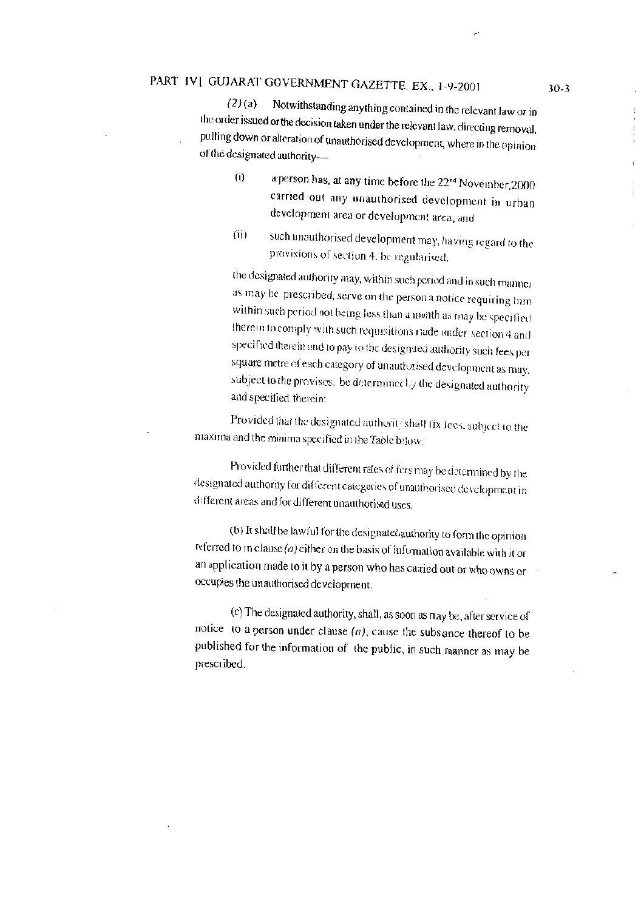# PART IV| GUJARAT GOVERNMENT GAZETTE, EX., 1-9-2001

Notwithstanding anything contained in the relevant law or in  $(2)(a)$ the order issued or the decision taken under the relevant law, directing removal, pulling down or alteration of unauthorised development, where in the opinion of the designated authority-

- $(i)$ a person has, at any time before the 22<sup>nd</sup> November, 2000 carried out any unauthorised development in urban development area or development area, and
- $(ii)$ such unauthorised development may, having regard to the provisions of section 4, be regularised.

the designated authority may, within such period and in such manner as may be prescribed, serve on the person a notice requiring bim within such period not being less than a month as may be specified therein to comply with such requisitions riade under section 4 and specified therein and to pay to the designsted authority such fees per square metre of each category of unautforised development as may, subject to the provises, be determined by the designated authority and specified therein:

Provided that the designated authority shall fix fees, subject to the maxima and the minima specified in the Table below:

Provided further that different rates of fees may be determined by the designated authority for different categories of unauthorised development in different areas and for different unauthorised uses.

(b) It shall be lawful for the designate Gauthority to form the opinion referred to in clause ( $a$ ) either on the basis of information available with it or an application made to it by a person who has carried out or who owns or occupies the unauthorised development.

(c) The designated authority, shall, as soon as  $\pi$  ay be, after service of notice to a person under clause  $(a)$ , cause the subsance thereof to be published for the information of the public, in such manner as may be prescribed.

 $30-3$ 

 $\frac{1}{2}$ 

 $\frac{1}{2}$ 

ŧ

÷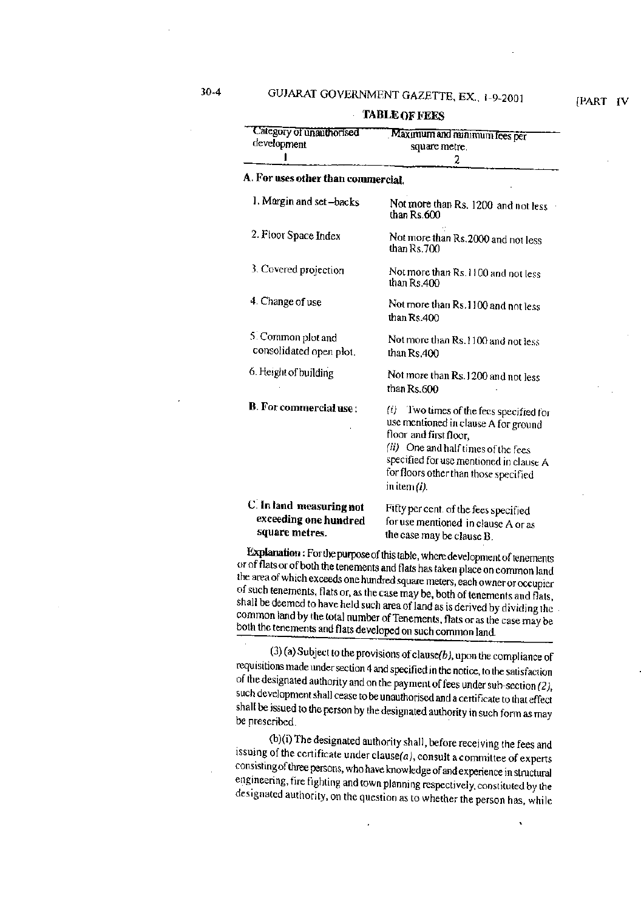**TABLE OF FEES** 

| Category of unauthorised                                            | Maximum and minimum fees per                                                                                                                                                                                                                               |
|---------------------------------------------------------------------|------------------------------------------------------------------------------------------------------------------------------------------------------------------------------------------------------------------------------------------------------------|
| development                                                         |                                                                                                                                                                                                                                                            |
|                                                                     | square metre.                                                                                                                                                                                                                                              |
|                                                                     | 2                                                                                                                                                                                                                                                          |
| A. For uses other than commercial.                                  |                                                                                                                                                                                                                                                            |
| 1. Margin and set-backs                                             | Not more than Rs. 1200 and not less<br>than Rs.600                                                                                                                                                                                                         |
| 2. Floor Space Index                                                | Not more than Rs. 2000 and not less<br>than Rs.700                                                                                                                                                                                                         |
| 3. Covered projection                                               | Not more than Rs. 1100 and not less<br>than Rs.400                                                                                                                                                                                                         |
| 4. Change of use                                                    | Not more than Rs. 1100 and not less<br>than $Rs.400$                                                                                                                                                                                                       |
| 5. Common plot and<br>consolidated open plot.                       | Not more than Rs. 1100 and not less<br>than Rs.400                                                                                                                                                                                                         |
| 6. Height of building                                               | Not more than Rs. 1200 and not less<br>than Rs.600                                                                                                                                                                                                         |
| <b>B.</b> For commercial use:                                       | Two times of the fees specified for<br>(i)<br>use mentioned in clause A for ground<br>floor and first floor,<br>(ii) One and half times of the fees<br>specified for use mentioned in clause A<br>for floors other than those specified<br>in item $(i)$ . |
| C. In land measuring not<br>exceeding one hundred<br>square metres. | Fifty per cent. of the fees specified<br>for use mentioned in clause A or as<br>the case may be clause B.                                                                                                                                                  |

Explanation: For the purpose of this table, where development of tenements or of flats or of both the tenements and flats has taken place on common land the area of which exceeds one hundred square meters, each owner or occupier of such tenements, flats or, as the case may be, both of tenements and flats, shall be deemed to have held such area of land as is derived by dividing the common land by the total number of Tenements, flats or as the case may be both the tenements and flats developed on such common land.

 $(3)$  (a) Subject to the provisions of clause(b), upon the compliance of requisitions made under section 4 and specified in the notice, to the satisfaction of the designated authority and on the payment of fees under sub-section  $(2)$ , such development shall cease to be unauthorised and a certificate to that effect shall be issued to the person by the designated authority in such form as may be prescribed.

(b)(i) The designated authority shall, before receiving the fees and issuing of the certificate under clause $(a)$ , consult a committee of experts consisting of three persons, who have knowledge of and experience in structural engineering, fire fighting and town planning respectively, constituted by the designated authority, on the question as to whether the person has, while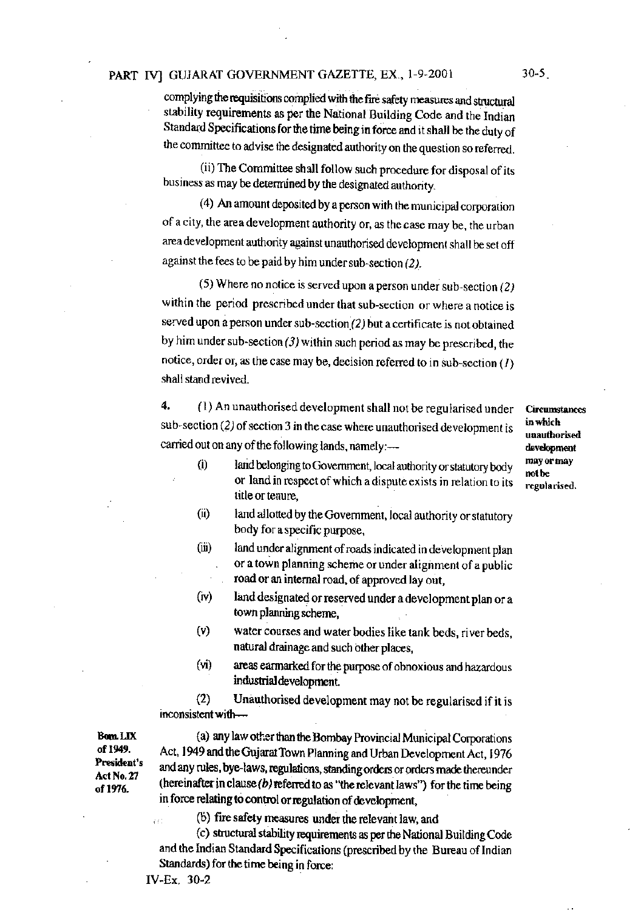## PART IV] GUJARAT GOVERNMENT GAZETTE, EX., 1-9-2001

complying the requisitions complied with the fire safety measures and structural stability requirements as per the National Building Code and the Indian Standard Specifications for the time being in force and it shall be the duty of the committee to advise the designated authority on the question so referred.

(ii) The Committee shall follow such procedure for disposal of its business as may be determined by the designated authority.

(4) An amount deposited by a person with the municipal corporation of a city, the area development authority or, as the case may be, the urban area development authority against unauthorised development shall be set off against the fees to be paid by him under sub-section (2).

(5) Where no notice is served upon a person under sub-section  $(2)$ within the period prescribed under that sub-section or where a notice is served upon a person under sub-section (2) but a certificate is not obtained by him under sub-section  $(3)$  within such period as may be prescribed, the notice, order or, as the case may be, decision referred to in sub-section  $(1)$ shall stand revived.

4. (1) An unauthorised development shall not be regularised under sub-section  $(2)$  of section 3 in the case where unauthorised development is carried out on any of the following lands, namely:-

**Circumstances** in which unauthorised development may or may not be regularised.

- land belonging to Government, local authority or statutory body  $(i)$ or land in respect of which a dispute exists in relation to its title or tenure.
- $(ii)$ land allotted by the Government, local authority or statutory body for a specific purpose,
- land under alignment of roads indicated in development plan  $(iii)$ or a town planning scheme or under alignment of a public road or an internal road, of approved lay out,
- $(iv)$ land designated or reserved under a development plan or a town planning scheme.
- water courses and water bodies like tank beds, river beds,  $(v)$ natural drainage and such other places,
- $(v<sub>i</sub>)$ areas earmarked for the purpose of obnoxious and hazardous industrial development.

 $(2)$ Unauthorised development may not be regularised if it is inconsistent with-

Bom LIX of 1949. President's Act No. 27 of 1976.

(a) any law other than the Bombay Provincial Municipal Corporations Act, 1949 and the Gujarat Town Planning and Urban Development Act, 1976 and any rules, bye-laws, regulations, standing orders or orders made thereunder (hereinafter in clause  $(b)$  referred to as "the relevant laws") for the time being in force relating to control or regulation of development,

(b) fire safety measures under the relevant law, and

(c) structural stability requirements as per the National Building Code and the Indian Standard Specifications (prescribed by the Bureau of Indian Standards) for the time being in force:

y y k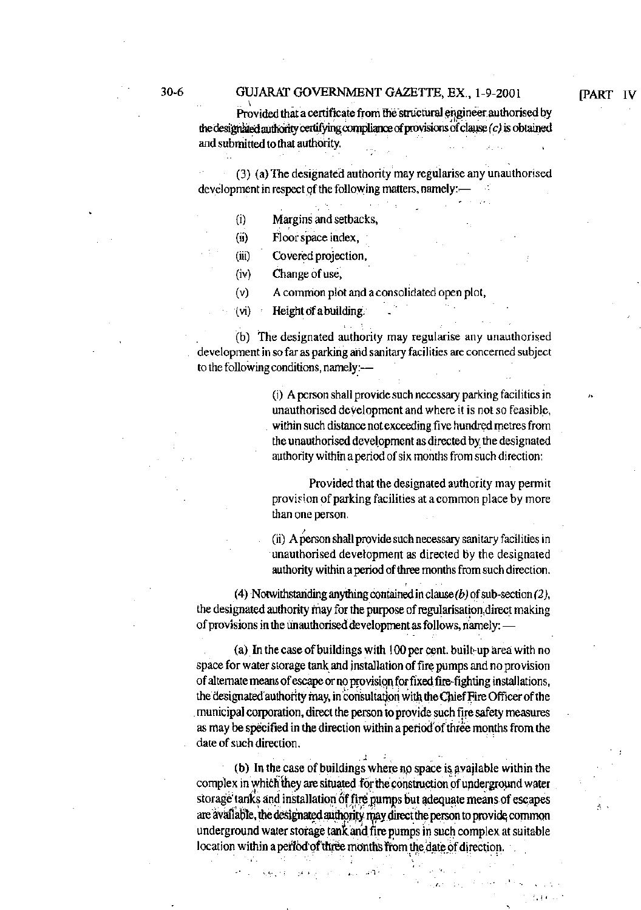Provided that a certificate from the structural engineer authorised by the designated authority certifying compliance of provisions of clause  $(c)$  is obtained and submitted to that authority.

**[PART IV** 

(3) (a) The designated authority may regularise any unauthorised development in respect of the following matters, namely:-

- Margins and setbacks,  $(i)$
- $(ii)$ Floor space index,
- $(iii)$ Covered projection,
- $(iv)$ Change of use,
- $(v)$ A common plot and a consolidated open plot,

Height of a building.  $(v<sub>i</sub>)$ 

(b) The designated authority may regularise any unauthorised development in so far as parking and sanitary facilities are concerned subject to the following conditions, namely:-

> (i) A person shall provide such necessary parking facilities in unauthorised development and where it is not so feasible, within such distance not exceeding five hundred metres from the unauthorised development as directed by the designated authority within a period of six months from such direction:

> Provided that the designated authority may permit provision of parking facilities at a common place by more than one person.

> (ii) A person shall provide such necessary sanitary facilities in unauthorised development as directed by the designated authority within a period of three months from such direction.

(4) Notwithstanding anything contained in clause  $(b)$  of sub-section  $(2)$ , the designated authority may for the purpose of regularisation direct making of provisions in the unauthorised development as follows, namely: -

(a) In the case of buildings with 100 per cent. built-up area with no space for water storage tank and installation of fire pumps and no provision of alternate means of escape or no provision for fixed fire-fighting installations, the designated authority may, in consultation with the Chief Fire Officer of the municipal corporation, direct the person to provide such fire safety measures as may be specified in the direction within a period of three months from the date of such direction.

(b) In the case of buildings where no space is available within the complex in which they are situated for the construction of underground water storage tanks and installation of fire pumps but adequate means of escapes are available, the designated authority may direct the person to provide common underground water storage tank and fire pumps in such complex at suitable location within a period of three months from the date of direction.

 $\pm$   $\epsilon_1$ 

الأقطار بهران الانارج فاغور الهويجة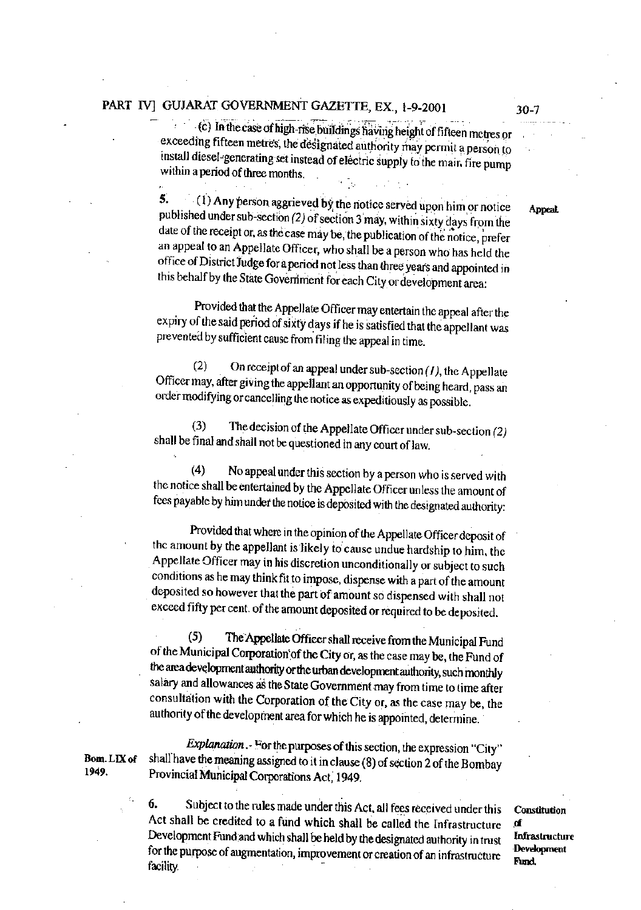# PART IV] GUJARAT GOVERNMENT GAZETTE, EX., 1-9-2001

(c) In the case of high-rise buildings having height of fifteen metres or exceeding fifteen metres, the designated authority may permit a person to install diesel-generating set instead of electric supply to the main fire pump within a period of three months.

(1) Any person aggrieved by the notice served upon him or notice 5. published under sub-section (2) of section 3 may, within sixty days from the date of the receipt or, as the case may be, the publication of the notice, prefer an appeal to an Appellate Officer, who shall be a person who has held the office of District Judge for a period not less than three years and appointed in this behalf by the State Government for each City or development area:

Provided that the Appellate Officer may entertain the appeal after the expiry of the said period of sixty days if he is satisfied that the appellant was prevented by sufficient cause from filing the appeal in time.

On receipt of an appeal under sub-section  $(I)$ , the Appellate  $(2)$ Officer may, after giving the appellant an opportunity of being heard, pass an order modifying or cancelling the notice as expeditiously as possible.

The decision of the Appellate Officer under sub-section (2)  $(3)$ shall be final and shall not be questioned in any court of law.

No appeal under this section by a person who is served with  $(4)$ the notice shall be entertained by the Appellate Officer unless the amount of fees payable by him under the notice is deposited with the designated authority:

Provided that where in the opinion of the Appellate Officer deposit of the amount by the appellant is likely to cause undue hardship to him, the Appellate Officer may in his discretion unconditionally or subject to such conditions as he may think fit to impose, dispense with a part of the amount deposited so however that the part of amount so dispensed with shall not exceed fifty per cent. of the amount deposited or required to be deposited.

 $(5)$ The Appellate Officer shall receive from the Municipal Fund of the Municipal Corporation of the City or, as the case may be, the Fund of the area development authority or the urban development authority, such monthly salary and allowances as the State Government may from time to time after consultation with the Corporation of the City or, as the case may be, the authority of the development area for which he is appointed, determine.

Explanation. For the purposes of this section, the expression "City" shall have the meaning assigned to it in clause (8) of section 2 of the Bombay Provincial Municipal Corporations Act, 1949.

6. Subject to the rules made under this Act, all fees received under this Act shall be credited to a fund which shall be called the Infrastructure Development Fund and which shall be held by the designated authority in trust for the purpose of augmentation, improvement or creation of an infrastructure facility.

Constitution  $\mathbf{d}$ Infrastructure Development Fund,

Bom. LIX of 1949.

Appeal,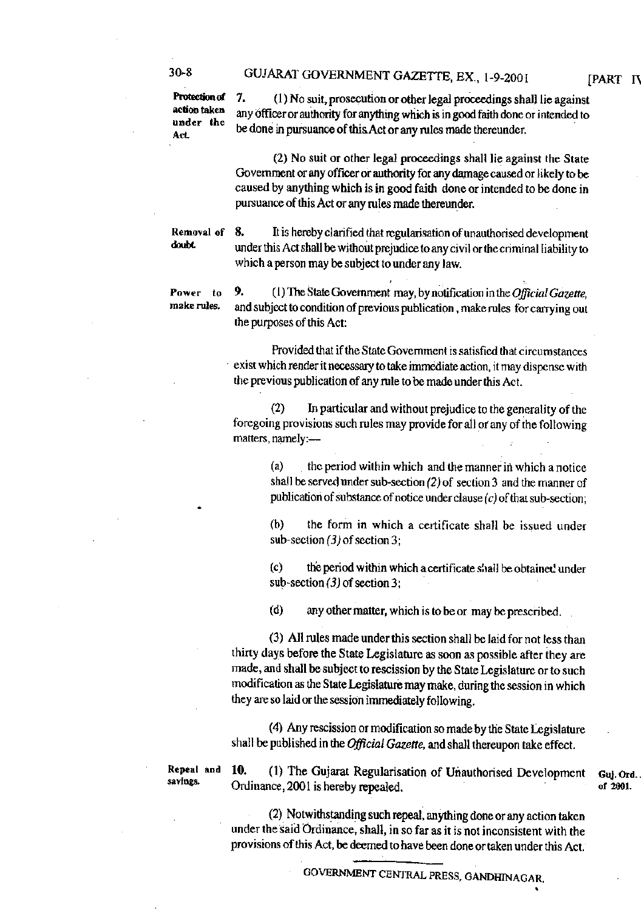## GUJARAT GOVERNMENT GAZETTE, EX., 1-9-2001

Protection of action taken under the Act

 $30 - 8$ 

7. (1) No suit, prosecution or other legal proceedings shall lie against any officer or authority for anything which is in good faith done or intended to be done in pursuance of this Act or any rules made thereunder.

(2) No suit or other legal proceedings shall lie against the State Government or any officer or authority for any damage caused or likely to be caused by anything which is in good faith done or intended to be done in pursuance of this Act or any rules made thereunder.

Removal of doubt.

8. It is hereby clarified that regularisation of unauthorised development under this Act shall be without prejudice to any civil or the criminal liability to which a person may be subject to under any law.

Power to make rules.

9. (1) The State Government may, by notification in the Official Gazette, and subject to condition of previous publication, make rules for carrying out the purposes of this Act:

Provided that if the State Government is satisfied that circumstances exist which render it necessary to take immediate action, it may dispense with the previous publication of any rule to be made under this Act.

In particular and without prejudice to the generality of the  $(2)$ foregoing provisions such rules may provide for all or any of the following matters, namely:-

> $(a)$ the period within which and the manner in which a notice shall be served under sub-section  $(2)$  of section 3 and the manner of publication of substance of notice under clause  $(c)$  of that sub-section;

> $(b)$ the form in which a certificate shall be issued under sub-section  $(3)$  of section 3;

> $(c)$ the period within which a certificate shall be obtained under sub-section  $(3)$  of section 3;

 $(d)$ any other matter, which is to be or may be prescribed.

(3) All rules made under this section shall be laid for not less than thirty days before the State Legislature as soon as possible after they are made, and shall be subject to rescission by the State Legislature or to such modification as the State Legislature may make, during the session in which they are so laid or the session immediately following.

(4) Any rescission or modification so made by the State Legislature shall be published in the Official Gazette, and shall thereupon take effect.

Repeal and savings.

10. (1) The Gujarat Regularisation of Unauthorised Development Ordinance, 2001 is hereby repealed.

(2) Notwithstanding such repeal, anything done or any action taken under the said Ordinance, shall, in so far as it is not inconsistent with the provisions of this Act, be deemed to have been done or taken under this Act.

[PART IV

Guj. Ord.

of 2001.

GOVERNMENT CENTRAL PRESS, GANDHINAGAR.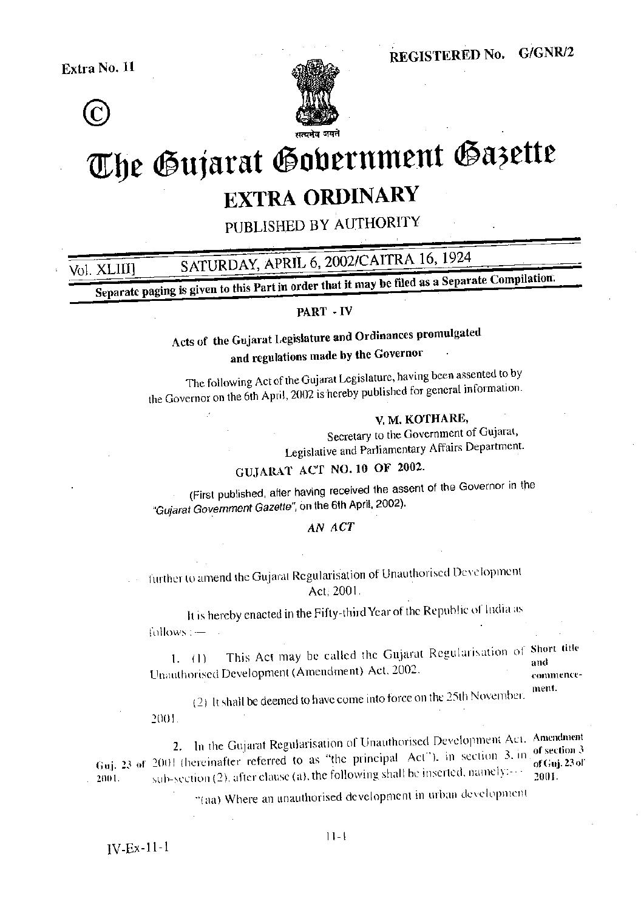Extra No. 11



Vol. XLIII]



# The Gujarat Gobernment Gazette **EXTRA ORDINARY**

PUBLISHED BY AUTHORITY

SATURDAY, APRIL 6, 2002/CAITRA 16, 1924

Separate paging is given to this Part in order that it may be filed as a Separate Compilation.

### PART - IV

Acts of the Gujarat Legislature and Ordinances promulgated

and regulations made by the Governor

The following Act of the Gujarat Legislature, having been assented to by the Governor on the 6th April, 2002 is hereby published for general information.

# V. M. KOTHARE.

Secretary to the Government of Gujarat, Legislative and Parliamentary Affairs Department.

# GUJARAT ACT NO. 10 OF 2002.

(First published, after having received the assent of the Governor in the "Gujarat Government Gazette", on the 6th April, 2002).

#### AN ACT

further to amend the Gujarat Regularisation of Unauthorised Development Act. 2001.

It is hereby enacted in the Fifty-third Year of the Republic of India as follows :-

This Act may be called the Gujarat Regularisation of Short title  $1. (1)$ and Unauthorised Development (Amendment) Act, 2002.

commencement.

(2) It shall be deemed to have come into force on the 25th November. 2001.

2. In the Gujarat Regularisation of Unauthorised Development Act. Amendment Guj. 23 of 2001 thereinafter referred to as "the principal Act"), in section 3, in of section 3 sub-section (2), after clause (a), the following shall be inserted, namely:---2001. 2001.

"(aa) Where an unauthorised development in urban development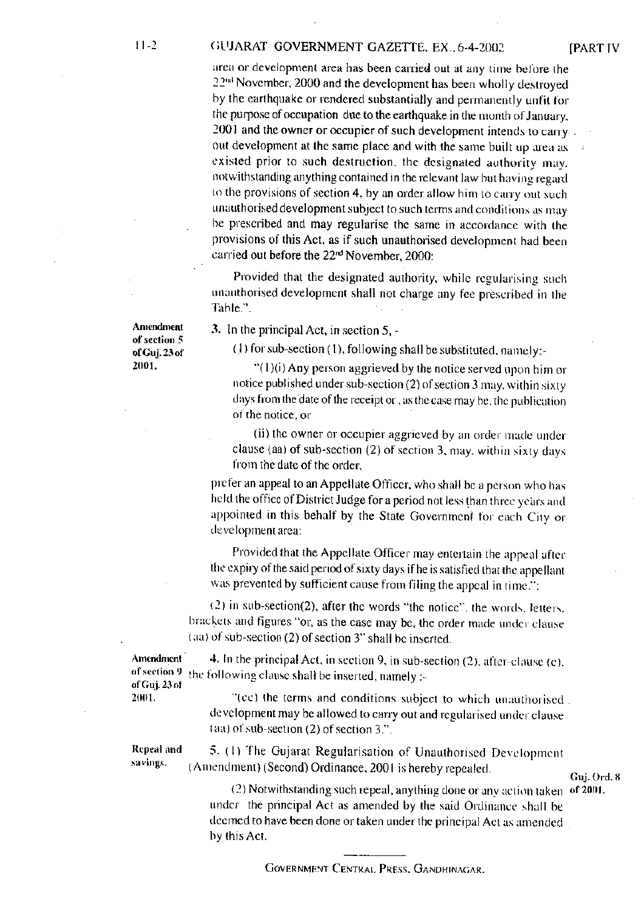#### GUJARAT GOVERNMENT GAZETTE, EX., 6-4-2002

area or development area has been carried out at any time before the 22<sup>nd</sup> November, 2000 and the development has been wholly destroyed by the earthquake or rendered substantially and permanently unfit for the purpose of occupation due to the earthquake in the month of January. 2001 and the owner or occupier of such development intends to carry. out development at the same place and with the same built up area as existed prior to such destruction, the designated authority may. notwithstanding anything contained in the relevant law but having regard

to the provisions of section 4, by an order allow him to carry out such unauthorised development subject to such terms and conditions as may be prescribed and may regularise the same in accordance with the provisions of this Act, as if such unauthorised development had been carried out before the 22<sup>nd</sup> November, 2000:

Provided that the designated authority, while regularising such unauthorised development shall not charge any fee prescribed in the Table.".

Amendment of section 5 of Guj. 23 of 2001.

3. In the principal Act, in section  $5, -$ 

(1) for sub-section (1), following shall be substituted, namely:-

"(1)(i) Any person aggrieved by the notice served upon him or notice published under sub-section (2) of section 3 may, within sixty days from the date of the receipt or, as the case may be, the publication of the notice, or

(ii) the owner or occupier aggrieved by an order made under clause (aa) of sub-section (2) of section 3, may, within sixty days from the date of the order.

prefer an appeal to an Appellate Officer, who shall be a person who has held the office of District Judge for a period not less than three years and appointed in this behalf by the State Government for each City or development area:

Provided that the Appellate Officer may entertain the appeal after the expiry of the said period of sixty days if he is satisfied that the appellant was prevented by sufficient cause from filing the appeal in time.":

 $(2)$  in sub-section(2), after the words "the notice", the words, letters. brackets and figures "or, as the case may be, the order made under clause (aa) of sub-section (2) of section 3" shall be inserted.

**Amendment** 4. In the principal Act, in section 9, in sub-section (2), after-clause (c). of section 9 the following clause shall be inserted, namely :of Guj. 23 of

> "(cc) the terms and conditions subject to which unauthorised. development may be allowed to carry out and regularised under clause  $(aa)$  of sub-section  $(2)$  of section 3.".

Repeal and savings.

2001.

5. (1) The Gujarat Regularisation of Unauthorised Development (Amendment) (Second) Ordinance, 2001 is hereby repealed.

## Guj. Ord. 8

(2) Notwithstanding such repeal, anything done or any action taken of 2001. under the principal Act as amended by the said Ordinance shall be deemed to have been done or taken under the principal Act as amended by this Act.

**GOVERNMENT CENTRAL PRESS, GANDHINAGAR.**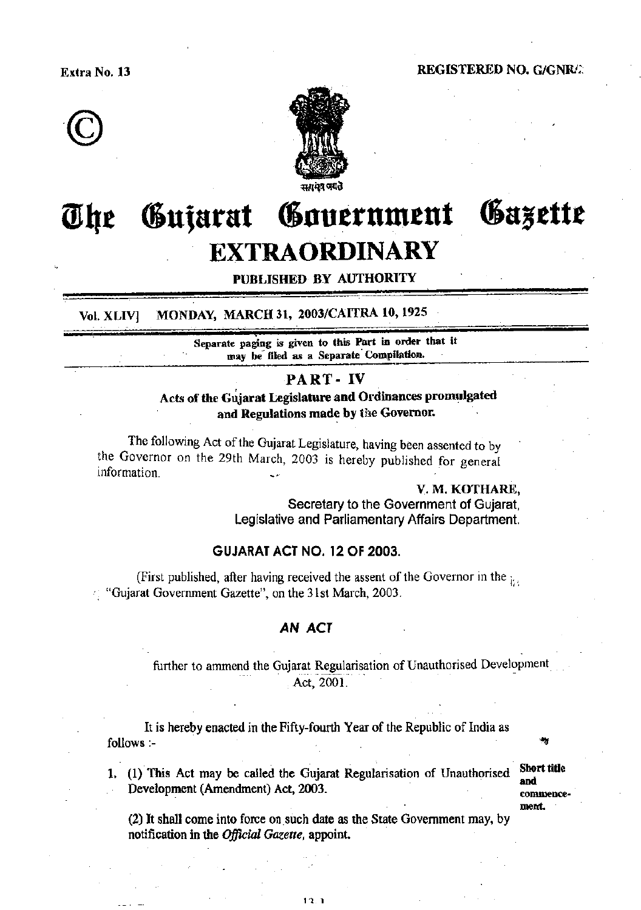



#### Gazette Government The Gujarat **EXTRAORDINARY**

# PUBLISHED BY AUTHORITY

MONDAY, MARCH 31, 2003/CAITRA 10, 1925 Vol. XLIV]

> Separate paging is given to this Part in order that it may be filed as a Separate Compilation.

## PART - IV

Acts of the Gujarat Legislature and Ordinances promulgated and Regulations made by the Governor.

The following Act of the Gujarat Legislature, having been assented to by the Governor on the 29th March, 2003 is hereby published for general information

> V. M. KOTHARE. Secretary to the Government of Gujarat, Legislative and Parliamentary Affairs Department.

# **GUJARAT ACT NO. 12 OF 2003.**

(First published, after having received the assent of the Governor in the <sub>it</sub>. "Gujarat Government Gazette", on the 31st March, 2003.

### **AN ACT**

further to ammend the Gujarat Regularisation of Unauthorised Development Act. 2001.

It is hereby enacted in the Fifty-fourth Year of the Republic of India as follows :-

1. (1) This Act may be called the Gujarat Regularisation of Unauthorised Development (Amendment) Act, 2003.

**Short title** and commencement.

(2) It shall come into force on such date as the State Government may, by notification in the *Official Gazette*, appoint.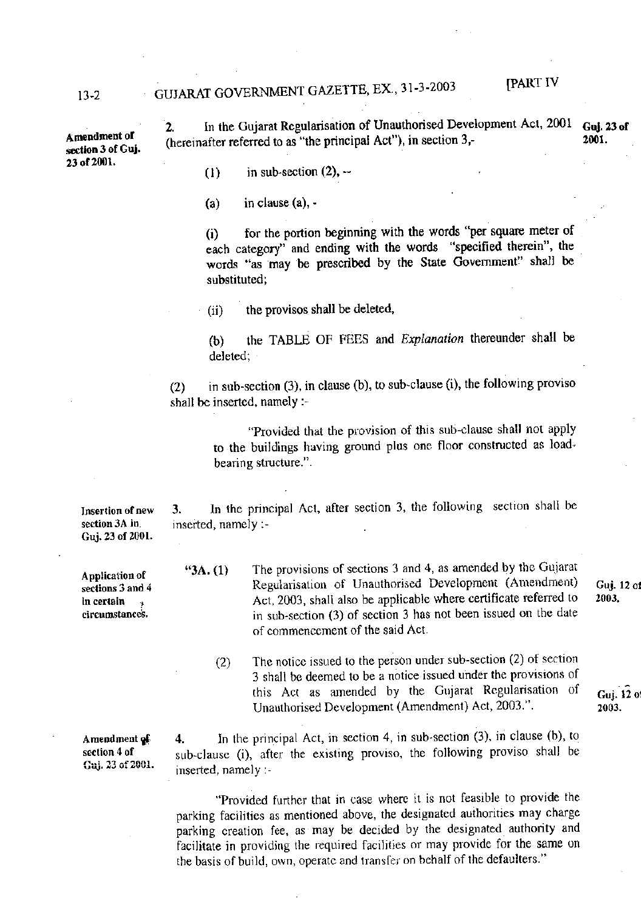# GUJARAT GOVERNMENT GAZETTE, EX., 31-3-2003

**IPART IV** 

A mendment of section 3 of Guj. 23 of 2001.

In the Gujarat Regularisation of Unauthorised Development Act, 2001 **Gui. 23 of** 2. (hereinafter referred to as "the principal Act"), in section 3,-2001.

 $(1)$ in sub-section  $(2)$ ,  $-$ 

in clause (a), - $(a)$ 

for the portion beginning with the words "per square meter of  $(i)$ each category" and ending with the words "specified therein", the words "as may be prescribed by the State Government" shall be substituted;

the provisos shall be deleted,  $(ii)$ 

the TABLE OF FEES and Explanation thereunder shall be  $(b)$ deleted;

in sub-section (3), in clause (b), to sub-clause (i), the following proviso  $(2)$ shall be inserted, namely :-

> "Provided that the provision of this sub-clause shall not apply to the buildings having ground plus one floor constructed as loadbearing structure.".

In the principal Act, after section 3, the following section shall be 3. inserted, namely :-

The provisions of sections 3 and 4, as amended by the Gujarat  $"3A. (1)$ Regularisation of Unauthorised Development (Amendment) Act, 2003, shall also be applicable where certificate referred to in sub-section (3) of section 3 has not been issued on the date of commencement of the said Act.

The notice issued to the person under sub-section (2) of section  $(2)$ 3 shall be deemed to be a notice issued under the provisions of this Act as amended by the Gujarat Regularisation of Unauthorised Development (Amendment) Act, 2003.".

Guj. 12 o 2003.

Guj. 12 of

2003.

Amendment of section 4 of Guj. 23 of 2001.

In the principal Act, in section 4, in sub-section  $(3)$ , in clause  $(b)$ , to 4. sub-clause (i), after the existing proviso, the following proviso shall be inserted, namely :-

"Provided further that in case where it is not feasible to provide the parking facilities as mentioned above, the designated authorities may charge parking creation fee, as may be decided by the designated authority and facilitate in providing the required facilities or may provide for the same on the basis of build, own, operate and transfer on behalf of the defaulters."

Application of sections 3 and 4 in certain circumstances.

Insertion of new

section 3A in. Guj. 23 of 2001.

 $13 - 2$